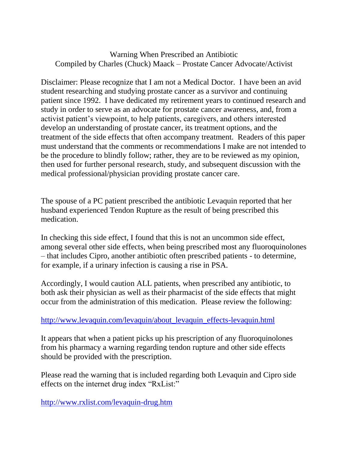## Warning When Prescribed an Antibiotic Compiled by Charles (Chuck) Maack – Prostate Cancer Advocate/Activist

Disclaimer: Please recognize that I am not a Medical Doctor. I have been an avid student researching and studying prostate cancer as a survivor and continuing patient since 1992. I have dedicated my retirement years to continued research and study in order to serve as an advocate for prostate cancer awareness, and, from a activist patient's viewpoint, to help patients, caregivers, and others interested develop an understanding of prostate cancer, its treatment options, and the treatment of the side effects that often accompany treatment. Readers of this paper must understand that the comments or recommendations I make are not intended to be the procedure to blindly follow; rather, they are to be reviewed as my opinion, then used for further personal research, study, and subsequent discussion with the medical professional/physician providing prostate cancer care.

The spouse of a PC patient prescribed the antibiotic Levaquin reported that her husband experienced Tendon Rupture as the result of being prescribed this medication.

In checking this side effect, I found that this is not an uncommon side effect, among several other side effects, when being prescribed most any fluoroquinolones – that includes Cipro, another antibiotic often prescribed patients - to determine, for example, if a urinary infection is causing a rise in PSA.

Accordingly, I would caution ALL patients, when prescribed any antibiotic, to both ask their physician as well as their pharmacist of the side effects that might occur from the administration of this medication. Please review the following:

## [http://www.levaquin.com/levaquin/about\\_levaquin\\_effects-levaquin.html](http://www.levaquin.com/levaquin/about_levaquin_effects-levaquin.html)

It appears that when a patient picks up his prescription of any fluoroquinolones from his pharmacy a warning regarding tendon rupture and other side effects should be provided with the prescription.

Please read the warning that is included regarding both Levaquin and Cipro side effects on the internet drug index "RxList:"

<http://www.rxlist.com/levaquin-drug.htm>